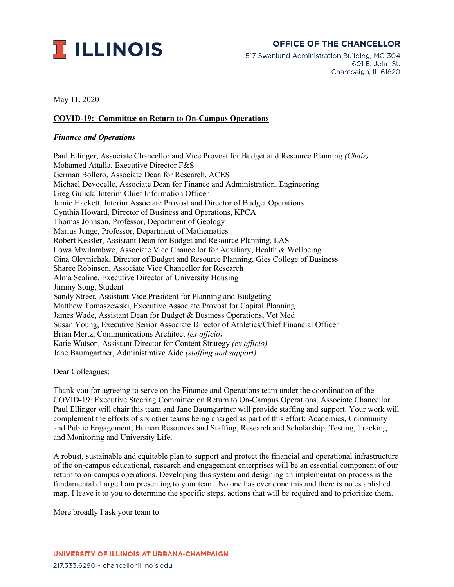

## **OFFICE OF THE CHANCELLOR**

517 Swanlund Administration Building, MC-304 601 E. John St. Champaign, IL 61820

May 11, 2020

## **COVID-19: Committee on Return to On-Campus Operations**

## *Finance and Operations*

Paul Ellinger, Associate Chancellor and Vice Provost for Budget and Resource Planning *(Chair)* Mohamed Attalla, Executive Director F&S German Bollero, Associate Dean for Research, ACES Michael Devocelle, Associate Dean for Finance and Administration, Engineering Greg Gulick, Interim Chief Information Officer Jamie Hackett, Interim Associate Provost and Director of Budget Operations Cynthia Howard, Director of Business and Operations, KPCA Thomas Johnson, Professor, Department of Geology Marius Junge, Professor, Department of Mathematics Robert Kessler, Assistant Dean for Budget and Resource Planning, LAS Lowa Mwilambwe, Associate Vice Chancellor for Auxiliary, Health & Wellbeing Gina Oleynichak, Director of Budget and Resource Planning, Gies College of Business Sharee Robinson, Associate Vice Chancellor for Research Alma Sealine, Executive Director of University Housing Jimmy Song, Student Sandy Street, Assistant Vice President for Planning and Budgeting Matthew Tomaszewski, Executive Associate Provost for Capital Planning James Wade, Assistant Dean for Budget & Business Operations, Vet Med Susan Young, Executive Senior Associate Director of Athletics/Chief Financial Officer Brian Mertz, Communications Architect *(ex officio)* Katie Watson, Assistant Director for Content Strategy *(ex officio)* Jane Baumgartner, Administrative Aide *(staffing and support)*

Dear Colleagues:

Thank you for agreeing to serve on the Finance and Operations team under the coordination of the COVID-19: Executive Steering Committee on Return to On-Campus Operations. Associate Chancellor Paul Ellinger will chair this team and Jane Baumgartner will provide staffing and support. Your work will complement the efforts of six other teams being charged as part of this effort: Academics, Community and Public Engagement, Human Resources and Staffing, Research and Scholarship, Testing, Tracking and Monitoring and University Life.

A robust, sustainable and equitable plan to support and protect the financial and operational infrastructure of the on-campus educational, research and engagement enterprises will be an essential component of our return to on-campus operations. Developing this system and designing an implementation process is the fundamental charge I am presenting to your team. No one has ever done this and there is no established map. I leave it to you to determine the specific steps, actions that will be required and to prioritize them.

More broadly I ask your team to: